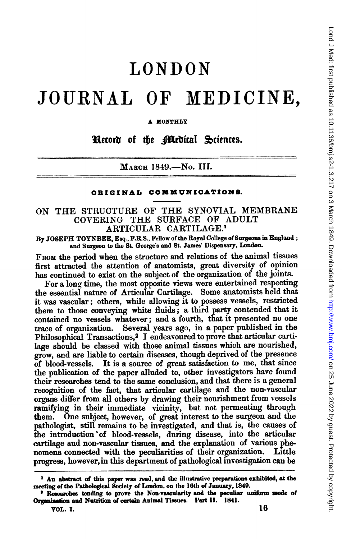## LONDON

## JOURNAL OF MEDICINE,

A XONTHLY

Record of the **Bled**ical Sciences.

MARCH 1849.-No. III.

## ORIGINAL COMMUNICATIONS.

## ON THE STRUCTURE OF THE SYNOVIAL MEMBRANE COVERING THE SURFACE OF ADULT ARTICULAR CARTILAGE.'

By JOSEPH TOYNBEE, Esq., F.R.S., Fellow of the Royal College of Surgeons in England; and Surgeon to the St. George's and St. James' Dispensary, London.

FROM the period when the structure and relations of the animal tissues first attracted the attention of anatomists, great diversity of opinion has continued to exist on the subject of the organization of the joints.

For a long time, the most opposite views were entertained respecting the essential nature of Articular Cartilage. Some anatomists held that it was vascular; others, while allowing it to possess vessels, restricted them to those conveying white fluids; a third party contended that it contained no vessels whatever; and a fourth, that it presented no one trace of organization. Several years ago, in a paper published in the Philosophical Transactions,<sup>2</sup> I endeavoured to prove that articular cartilage should be classed with those animal tissues which are nourished, grow, and are liable to certain diseases, though deprived of the presence of blood-vessels. It is a source of great satisfaction to me, that since the publication of the paper alluded to, other investigators have found their researches tend to the same conclusion, and that there is a general recognition of the fact, that articular cartilage and the non-vascular organs differ from all others by drawing their nourishment from vessels ramifying in their immediate vicinity, but not permeating through them. One subject, however, of great interest to the surgeon and the pathologist, still remains to be investigated, and that is, the causes of the introduction of blood-vessels, during disease, into the articular cartilage and non-vascular tissues, and the explanation of various phenomena connected with the peculiarities of their organization. Little progress, however, in this department of pathological investigation can be

<sup>&</sup>lt;sup>1</sup> An abstract of this paper was read, and the illustrative preparations exhibited, at the meeting of the Pathological Society of London, on the 16th of January, 1840.

<sup>&#</sup>x27; Researches tending to prove the Non-vascularity and the peculiar uniform mode of Organization and Nutrition of certain Animal Tissues. Part II. 1841.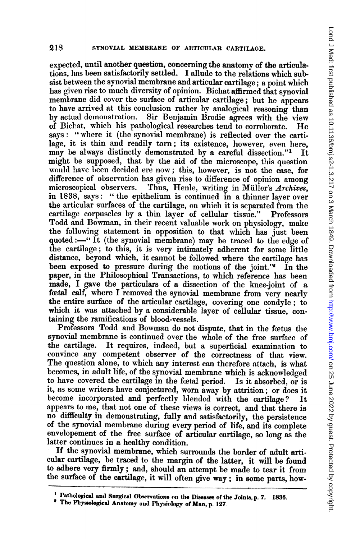expected, until another question, concerning the anatomy of the articulations, lhas been satisfactorily settled. I allude to the relations which subsist between the synovial membrane and articular cartilage; <sup>a</sup> point which has given rise to much diversity of opinion. Bichat affirmed that synovial membrane did cover the surface of articular cartilage; but he appears to have arrived at this conclusion rather by analogical reasoning than<br>by actual demonstration. Sir Benjamin Brodie agrees with the view Sir Benjamin Brodie agrees with the view of Bichat, which his pathological researches tend to corroborate. He says: "where it (the synovial membrane) is reflected over the cartilage, it is thin and readily torn; its existence, however, even here, may be always distinctly demonstrated by a careful dissection."<sup>1</sup> It might be supposed, that by the aid of the microscope, this question would have been decided ere now; this, however, is not the case, for difference of observation has given rise to difference of opinion among<br>microscopical observers. Thus, Henle, writing in Müller's Archives. Thus, Henle, writing in Müller's Archives, in t838, says: " the epithelium is continued in a thinner layer over the articular surfaces of the cartilage, on which it is separated from the cartilage corpuscles by a thin layer of cellular tissue." Professors Todd and Bowman, in their recent valuable work on physiology, make the following statement in opposition to that which has just been quoted:-" It (the synovial membrane) may be traced to the edge of the cartilage; to this, it is very intimately adherent for some little distance, beyond which, it cannot be followed where the cartilage has been exposed to pressure during the motions of the joint." $\tilde{P}$  In the paper, in the Philosophical Transactions, to which reference has been made, I gave the particulars of a dissection of the knee-joint of a feetal calf, where <sup>I</sup> removed the synovial membrane from very nearly the entire surface of the articular cartilage, covering one condyle; to which it was attached by a considerable layer of cellular tissue, containing the ramifications of blood-vessels.

Professors Todd and Bowman do not dispute, that in the fœtus the synovial membrane is continued over the whole of the free surface of the cartilage. It requires, indeed, but a superficial examination to It requires, indeed, but a superficial examination to convince any competent observer of the correctness of that view. The question alone, to which any interest can therefore attach, is what becomes, in adult life, of the synovial membrane which is acknowledged to have covered tbe cartilage in the fœtal period. Is it absorbed, or is it, as some writers have conjectured, worn away by attrition; or does it become incorporated and perfectly l)lended with the cartilage? It appears to me, that not one of these views is correct, and that there is no difflculty in demonstrating, fully and satisfactorily, the persistence of the synovial membrane during every period of life, and its complete envelopement of the free surface of articular cartilage, so long as the latter continues in a healthy condition.

If the synovial membrane, which surrounds the border of adult articular cartilage, be traced to the margin of the latter, it will be found to adhere very firmly; and, should an attempt be made to tear it from the surface of the cartilage, it will often give way; in some parts, how-

<sup>&</sup>lt;sup>1</sup> Pathological and Surgical Observations on the Diseases of the Joints, p. 7. 1836.

<sup>&</sup>lt;sup>2</sup> The Physiological Anatomy and Physiology of Man, p. 127.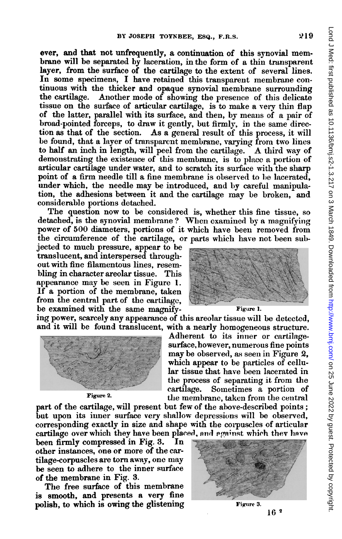ever, and that not unfrequently, a continuation of this synovial membrane will be separated by laceration, in the form of a thin transparent layer, from the surface of the cartilage to the extent of several lines. In some specimens, I have retained this transparent membrane continuous with the thicker and opaque synovial membrane surrounding<br>the cartilage. Another mode of showing the presence of this delicate Another mode of showing the presence of this delicate tissue on the surface of articular cartilage, is to make a very thin flap of the latter, parallel with its surface, and then, by means of a pair of broad-pointed forceps, to draw it gently, but firmly, in the same direction as that of the section. As a general result of this process, it will be found, that a layer of transparent membrane, varying, from two lines to half an inch in length, will peel from the cartilage. A third way of demonstrating the existence of this membrane, is to place a portion of articular cartilage under water, and to scratch its surface with the sharp point of a firm needle till a fine membrane is observed to be lacerated, under which, the needle may be introduced, and by careful manipulation, the adhesions between it and the cartilage may be broken, and considerable portions detached.

The question now to be considered is, whether this fine tissue, so detached, is the synovial membrane? When examined by a magnifying power of 500 diameters, portions of it which have been removed from the circumference of the cartilage, or parts which have not been sub-

jected to much pressure, appear to be translucent, and interspersed throughout with fine filamentous lines, resembling in character areolar tissue. This appearance may be seen in Figure 1. If a portion of the membrane, taken from the central part of the cartilage, be examined with the same magnify-<br>Figure 1.

ing power, scarcely any appearance of this areolar tissue will be detected, and it will be found translucent, with a nearly homogeneous structure.



Adherent to its inner or cartilagesurface, however, numerous fine points

may be observed, as seen in Figure 2, which appear to be particles of cellular tissue that have been lacerated in the process of separating it from the cartilage. Sometimes a portion of Figure 2. the membrane, taken from the central

part of the cartilage, will present but few of the above-described points; but upon its inner surface very shallow depressions will be observed, corresponding exactly in size and shape with the corpuscles of articular cartilage over which they have been placed, and against which they have

been firmly compressed in Fig. 3. In other instances, one or more of the cartilage-corpuscles are torn away, one may be seen to adhere to the inner surface of the membrane in Fig. 3.

The free surface of this membrane is smooth, and presents a very fine polish, to which is owing the glistening  $\overline{F}$  Figure 3.